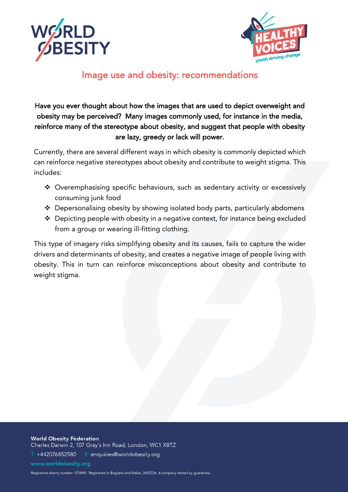



# Image use and obesity: recommendations

## Have you ever thought about how the images that are used to depict overweight and obesity may be perceived? Many images commonly used, for instance in the media, reinforce many of the stereotype about obesity, and suggest that people with obesity are lazy, greedy or lack will power.

Currently, there are several different ways in which obesity is commonly depicted which can reinforce negative stereotypes about obesity and contribute to weight stigma. This includes:

- ❖ Overemphasising specific behaviours, such as sedentary activity or excessively consuming junk food
- ❖ Depersonalising obesity by showing isolated body parts, particularly abdomens
- ❖ Depicting people with obesity in a negative context, for instance being excluded from a group or wearing ill-fitting clothing.

This type of imagery risks simplifying obesity and its causes, fails to capture the wider drivers and determinants of obesity, and creates a negative image of people living with obesity. This in turn can reinforce misconceptions about obesity and contribute to weight stigma.

**World Obesity Federation** Charles Darwin 2, 107 Gray's Inn Road, London, WC1 X8TZ T: +442076852580 E: enquiries@worldobesity.org www.worldobesity.org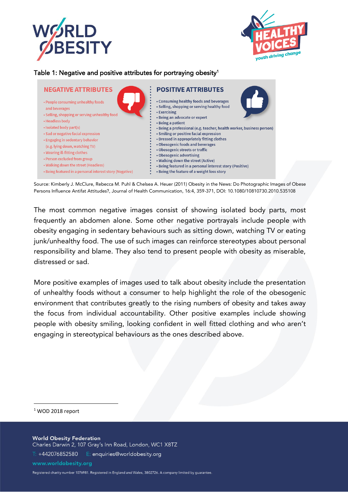



#### Table 1: Negative and positive attributes for portraying obesity $^{\rm 1}$



Source: Kimberly J. McClure, Rebecca M. Puhl & Chelsea A. Heuer (2011) Obesity in the News: Do Photographic Images of Obese Persons Influence Antifat Attitudes?, Journal of Health Communication, 16:4, 359-371, DOI: 10.1080/10810730.2010.535108

The most common negative images consist of showing isolated body parts, most frequently an abdomen alone. Some other negative portrayals include people with obesity engaging in sedentary behaviours such as sitting down, watching TV or eating junk/unhealthy food. The use of such images can reinforce stereotypes about personal responsibility and blame. They also tend to present people with obesity as miserable, distressed or sad.

More positive examples of images used to talk about obesity include the presentation of unhealthy foods without a consumer to help highlight the role of the obesogenic environment that contributes greatly to the rising numbers of obesity and takes away the focus from individual accountability. Other positive examples include showing people with obesity smiling, looking confident in well fitted clothing and who aren't engaging in stereotypical behaviours as the ones described above.

<sup>1</sup> WOD 2018 report

**World Obesity Federation** Charles Darwin 2, 107 Gray's Inn Road, London, WC1 X8TZ T: +442076852580 E: enquiries@worldobesity.org www.worldobesity.org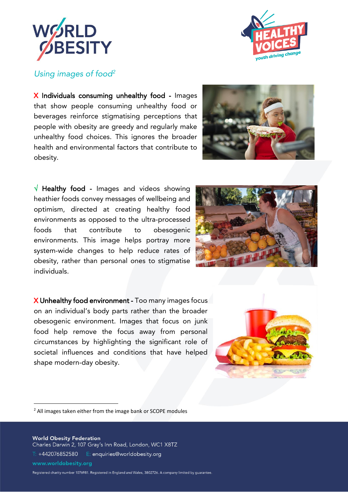



#### *Using images of food<sup>2</sup>*

X Individuals consuming unhealthy food - Images that show people consuming unhealthy food or beverages reinforce stigmatising perceptions that people with obesity are greedy and regularly make unhealthy food choices. This ignores the broader health and environmental factors that contribute to obesity.



 $\sqrt{ }$  Healthy food - Images and videos showing heathier foods convey messages of wellbeing and optimism, directed at creating healthy food environments as opposed to the ultra-processed foods that contribute to obesogenic environments. This image helps portray more system-wide changes to help reduce rates of obesity, rather than personal ones to stigmatise individuals.



X Unhealthy food environment - Too many images focus on an individual's body parts rather than the broader obesogenic environment. Images that focus on junk food help remove the focus away from personal circumstances by highlighting the significant role of societal influences and conditions that have helped shape modern-day obesity.



<sup>2</sup> All images taken either from the image bank or SCOPE modules

**World Obesity Federation** Charles Darwin 2, 107 Gray's Inn Road, London, WC1 X8TZ  $\overline{T}$ : +442076852580  $E$ : enquiries@worldobesity.org www.worldobesity.org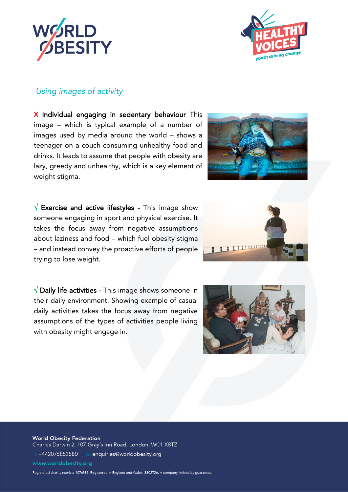



#### *Using images of activity*

X Individual engaging in sedentary behaviour This image – which is typical example of a number of images used by media around the world – shows a teenager on a couch consuming unhealthy food and drinks. It leads to assume that people with obesity are lazy, greedy and unhealthy, which is a key element of weight stigma.

 $\sqrt{ }$  Exercise and active lifestyles - This image show someone engaging in sport and physical exercise. It takes the focus away from negative assumptions about laziness and food – which fuel obesity stigma – and instead convey the proactive efforts of people trying to lose weight.

 $\sqrt{}$  Daily life activities - This image shows someone in their daily environment. Showing example of casual daily activities takes the focus away from negative assumptions of the types of activities people living with obesity might engage in.







**World Obesity Federation** Charles Darwin 2, 107 Gray's Inn Road, London, WC1 X8TZ  $\overline{T}$ : +442076852580  $E$ : enquiries@worldobesity.org www.worldobesity.org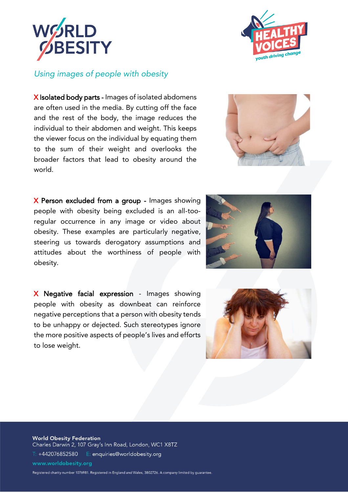



#### *Using images of people with obesity*

X Isolated body parts - Images of isolated abdomens are often used in the media. By cutting off the face and the rest of the body, the image reduces the individual to their abdomen and weight. This keeps the viewer focus on the individual by equating them to the sum of their weight and overlooks the broader factors that lead to obesity around the world.

X Person excluded from a group - Images showing people with obesity being excluded is an all-tooregular occurrence in any image or video about obesity. These examples are particularly negative, steering us towards derogatory assumptions and attitudes about the worthiness of people with obesity.

X Negative facial expression - Images showing people with obesity as downbeat can reinforce negative perceptions that a person with obesity tends to be unhappy or dejected. Such stereotypes ignore the more positive aspects of people's lives and efforts to lose weight.







**World Obesity Federation** Charles Darwin 2, 107 Gray's Inn Road, London, WC1 X8TZ  $\overline{T}$ : +442076852580  $E$ : enquiries@worldobesity.org www.worldobesity.org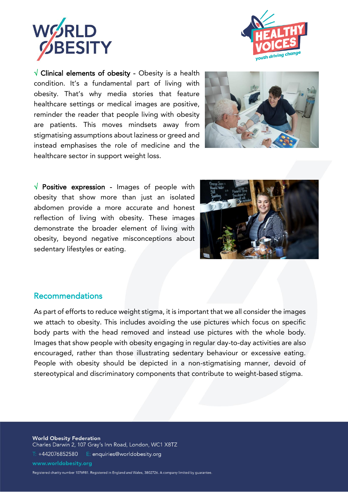



 $\sqrt{ }$  Clinical elements of obesity - Obesity is a health condition. It's a fundamental part of living with obesity. That's why media stories that feature healthcare settings or medical images are positive, reminder the reader that people living with obesity are patients. This moves mindsets away from stigmatising assumptions about laziness or greed and instead emphasises the role of medicine and the healthcare sector in support weight loss.



 $\sqrt{ }$  Positive expression - Images of people with obesity that show more than just an isolated abdomen provide a more accurate and honest reflection of living with obesity. These images demonstrate the broader element of living with obesity, beyond negative misconceptions about sedentary lifestyles or eating.



#### Recommendations

As part of efforts to reduce weight stigma, it is important that we all consider the images we attach to obesity. This includes avoiding the use pictures which focus on specific body parts with the head removed and instead use pictures with the whole body. Images that show people with obesity engaging in regular day-to-day activities are also encouraged, rather than those illustrating sedentary behaviour or excessive eating. People with obesity should be depicted in a non-stigmatising manner, devoid of stereotypical and discriminatory components that contribute to weight-based stigma.

**World Obesity Federation** Charles Darwin 2, 107 Gray's Inn Road, London, WC1 X8TZ  $\overline{T}$ : +442076852580  $E$ : enquiries@worldobesity.org www.worldobesity.org